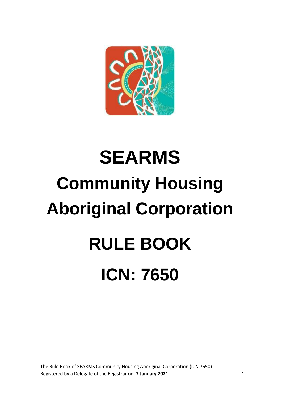

# **SEARMS Community Housing Aboriginal Corporation RULE BOOK ICN: 7650**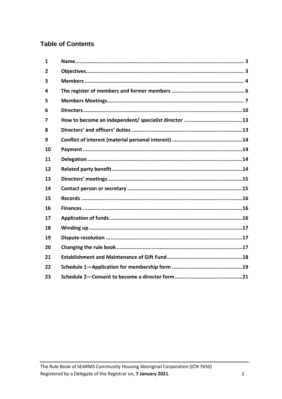# **Table of Contents**

| $\mathbf{1}$ |  |
|--------------|--|
| $\mathbf{2}$ |  |
| 3            |  |
| 4            |  |
| 5            |  |
| 6            |  |
| 7            |  |
| 8            |  |
| 9            |  |
| 10           |  |
| 11           |  |
| 12           |  |
| 13           |  |
| 14           |  |
| 15           |  |
| 16           |  |
| 17           |  |
| 18           |  |
| 19           |  |
| 20           |  |
| 21           |  |
| 22           |  |
| 23           |  |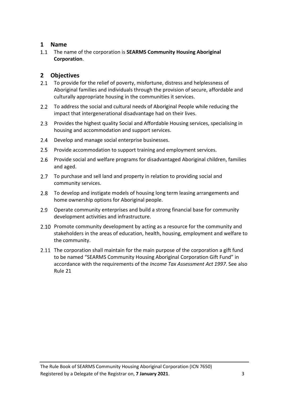# <span id="page-2-0"></span>**1 Name**

The name of the corporation is **SEARMS Community Housing Aboriginal Corporation**.

# <span id="page-2-1"></span>**2 Objectives**

- 2.1 To provide for the relief of poverty, misfortune, distress and helplessness of Aboriginal families and individuals through the provision of secure, affordable and culturally appropriate housing in the communities it services.
- $2.2^{\circ}$ To address the social and cultural needs of Aboriginal People while reducing the impact that intergenerational disadvantage had on their lives.
- $2.3$ Provides the highest quality Social and Affordable Housing services, specialising in housing and accommodation and support services.
- $2.4$ Develop and manage social enterprise businesses.
- $2.5$ Provide accommodation to support training and employment services.
- $2.6$ Provide social and welfare programs for disadvantaged Aboriginal children, families and aged.
- 2.7 To purchase and sell land and property in relation to providing social and community services.
- To develop and instigate models of housing long term leasing arrangements and home ownership options for Aboriginal people.
- 2.9 Operate community enterprises and build a strong financial base for community development activities and infrastructure.
- 2.10 Promote community development by acting as a resource for the community and stakeholders in the areas of education, health, housing, employment and welfare to the community.
- 2.11 The corporation shall maintain for the main purpose of the corporation a gift fund to be named "SEARMS Community Housing Aboriginal Corporation Gift Fund" in accordance with the requirements of the *Income Tax Assessment Act 1997*. See also Rule 21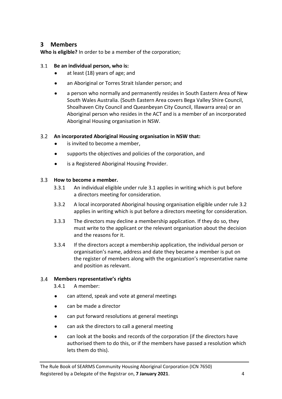# <span id="page-3-0"></span>**3 Members**

**Who is eligible?** In order to be a member of the corporation;

### **Be an individual person, who is:**

- at least (18) years of age; and
- an Aboriginal or Torres Strait Islander person; and
- a person who normally and permanently resides in South Eastern Area of New South Wales Australia. (South Eastern Area covers Bega Valley Shire Council, Shoalhaven City Council and Queanbeyan City Council, Illawarra area) or an Aboriginal person who resides in the ACT and is a member of an incorporated Aboriginal Housing organisation in NSW.

### **An incorporated Aboriginal Housing organisation in NSW that:**

- is invited to become a member,
- supports the objectives and policies of the corporation, and
- is a Registered Aboriginal Housing Provider.

### **How to become a member.**

- 3.3.1 An individual eligible under rule 3.1 applies in writing which is put before a directors meeting for consideration.
- 3.3.2 A local incorporated Aboriginal housing organisation eligible under rule 3.2 applies in writing which is put before a directors meeting for consideration.
- 3.3.3 The directors may decline a membership application. If they do so, they must write to the applicant or the relevant organisation about the decision and the reasons for it.
- 3.3.4 If the directors accept a membership application, the individual person or organisation's name, address and date they became a member is put on the register of members along with the organization's representative name and position as relevant.

### **Members representative's rights**

- 3.4.1 A member:
- can attend, speak and vote at general meetings
- can be made a director
- can put forward resolutions at general meetings
- can ask the directors to call a general meeting
- can look at the books and records of the corporation (if the directors have authorised them to do this, or if the members have passed a resolution which lets them do this).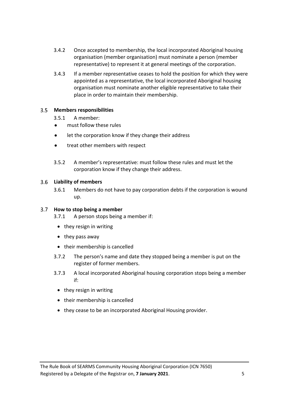- 3.4.2 Once accepted to membership, the local incorporated Aboriginal housing organisation (member organisation) must nominate a person (member representative) to represent it at general meetings of the corporation.
- 3.4.3 If a member representative ceases to hold the position for which they were appointed as a representative, the local incorporated Aboriginal housing organisation must nominate another eligible representative to take their place in order to maintain their membership.

### **Members responsibilities**

- 3.5.1 A member:
- must follow these rules
- **•** let the corporation know if they change their address
- treat other members with respect
- 3.5.2 A member's representative: must follow these rules and must let the corporation know if they change their address.

### **Liability of members**

3.6.1 Members do not have to pay corporation debts if the corporation is wound up.

# **How to stop being a member**

3.7.1 A person stops being a member if:

- $\bullet$  they resign in writing
- $\bullet$  they pass away
- their membership is cancelled
- 3.7.2 The person's name and date they stopped being a member is put on the register of former members.
- 3.7.3 A local incorporated Aboriginal housing corporation stops being a member if:
	- they resign in writing
	- their membership is cancelled
	- they cease to be an incorporated Aboriginal Housing provider.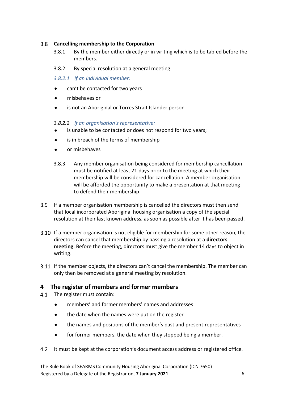### **Cancelling membership to the Corporation**

- 3.8.1 By the member either directly or in writing which is to be tabled before the members.
- 3.8.2 By special resolution at a general meeting.

*3.8.2.1 If an individual member:*

- can't be contacted for two years
- misbehaves or
- is not an Aboriginal or Torres Strait Islander person

### *3.8.2.2 If an organisation's representative:*

- is unable to be contacted or does not respond for two years;
- is in breach of the terms of membership
- or misbehaves
- 3.8.3 Any member organisation being considered for membership cancellation must be notified at least 21 days prior to the meeting at which their membership will be considered for cancellation. A member organisation will be afforded the opportunity to make a presentation at that meeting to defend their membership.
- If a member organisation membership is cancelled the directors must then send that local incorporated Aboriginal housing organisation a copy of the special resolution at their last known address, as soon as possible after it has beenpassed.
- 3.10 If a member organisation is not eligible for membership for some other reason, the directors can cancel that membership by passing a resolution at a **directors meeting**. Before the meeting, directors must give the member 14 days to object in writing.
- 3.11 If the member objects, the directors can't cancel the membership. The member can only then be removed at a general meeting by resolution.

# <span id="page-5-0"></span>**4 The register of members and former members**

- 4.1 The register must contain:
	- members' and former members' names and addresses
	- the date when the names were put on the register
	- the names and positions of the member's past and present representatives
	- for former members, the date when they stopped being a member.
- 4.2 It must be kept at the corporation's document access address or registered office.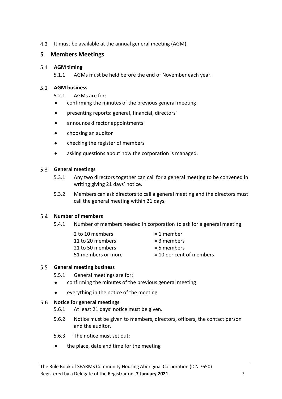4.3 It must be available at the annual general meeting (AGM).

# <span id="page-6-0"></span>**5 Members Meetings**

### **AGM timing**

5.1.1 AGMs must be held before the end of November each year.

### **AGM business**

- 5.2.1 AGMs are for:
- confirming the minutes of the previous general meeting
- presenting reports: general, financial, directors'
- announce director appointments
- choosing an auditor
- checking the register of members
- asking questions about how the corporation is managed.

### **General meetings**

- 5.3.1 Any two directors together can call for a general meeting to be convened in writing giving 21 days' notice.
- 5.3.2 Members can ask directors to call a general meeting and the directors must call the general meeting within 21 days.

### **Number of members**

5.4.1 Number of members needed in corporation to ask for a general meeting

| 2 to 10 members    | $= 1$ member             |
|--------------------|--------------------------|
| 11 to 20 members   | $=$ 3 members            |
| 21 to 50 members   | $= 5$ members            |
| 51 members or more | = 10 per cent of members |

### **General meeting business**

- 5.5.1 General meetings are for:
- confirming the minutes of the previous general meeting
- everything in the notice of the meeting

### **Notice for general meetings**

- 5.6.1 At least 21 days' notice must be given.
- 5.6.2 Notice must be given to members, directors, officers, the contact person and the auditor.
- 5.6.3 The notice must set out:
- the place, date and time for the meeting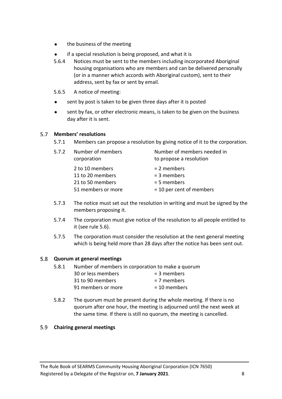- the business of the meeting
- if a special resolution is being proposed, and what it is
- 5.6.4 Notices must be sent to the members including incorporated Aboriginal housing organisations who are members and can be delivered personally (or in a manner which accords with Aboriginal custom), sent to their address, sent by fax or sent by email.
- 5.6.5 A notice of meeting:
- sent by post is taken to be given three days after it is posted
- sent by fax, or other electronic means, is taken to be given on the business day after it is sent.

### **Members' resolutions**

5.7.1 Members can propose a resolution by giving notice of it to the corporation.

| 5.7.2 | Number of members<br>corporation | Number of members needed in<br>to propose a resolution |
|-------|----------------------------------|--------------------------------------------------------|
|       | 2 to 10 members                  | $= 2$ members                                          |
|       | 11 to 20 members                 | $=$ 3 members                                          |
|       | 21 to 50 members                 | $= 5$ members                                          |
|       | 51 members or more               | $=$ 10 per cent of members                             |

- 5.7.3 The notice must set out the resolution in writing and must be signed by the members proposing it.
- 5.7.4 The corporation must give notice of the resolution to all people entitled to it (see rule 5.6).
- 5.7.5 The corporation must consider the resolution at the next general meeting which is being held more than 28 days after the notice has been sent out.

### **Quorum at general meetings**

- 5.8.1 Number of members in corporation to make a quorum  $30$  or less members  $= 3$  members  $31$  to 90 members  $= 7$  members 91 members or more  $= 10$  members
- 5.8.2 The quorum must be present during the whole meeting. If there is no quorum after one hour, the meeting is adjourned until the next week at the same time. If there is still no quorum, the meeting is cancelled.

### **Chairing general meetings**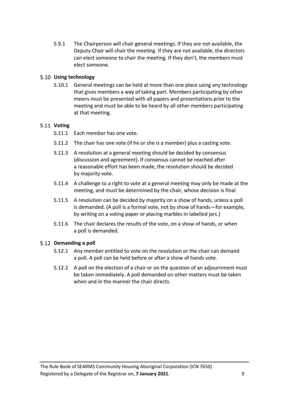5.9.1 The Chairperson will chair general meetings. If they are not available, the Deputy Chair will chair the meeting. If they are not available, the directors can elect someone to chair the meeting. If they don't, the members must elect someone.

### **Using technology**

5.10.1 General meetings can be held at more than one place using any technology that gives members a way of taking part. Members participating by other means must be presented with all papers and presentations prior to the meeting and must be able to be heard by all other members participating at that meeting.

### 5.11 Voting

- 5.11.1 Each member has one vote.
- 5.11.2 The chair has one vote (if he or she is a member) plus a casting vote.
- 5.11.3 A resolution at a general meeting should be decided by consensus (discussion and agreement). If consensus cannot be reached after a reasonable effort has been made, the resolution should be decided by majority vote.
- 5.11.4 A challenge to a right to vote at a general meeting may only be made at the meeting, and must be determined by the chair, whose decision is final.
- 5.11.5 A resolution can be decided by majority on a show of hands, unless a poll is demanded. (A poll is a formal vote, not by show of hands—for example, by writing on a voting paper or placing marbles in labelled jars.)
- 5.11.6 The chair declares the results of the vote, on a show of hands, or when a poll is demanded.

### **Demanding a poll**

- 5.12.1 Any member entitled to vote on the resolution or the chair can demand a poll. A poll can be held before or after a show of hands vote.
- 5.12.2 A poll on the election of a chair or on the question of an adjournment must be taken immediately. A poll demanded on other matters must be taken when and in the manner the chair directs.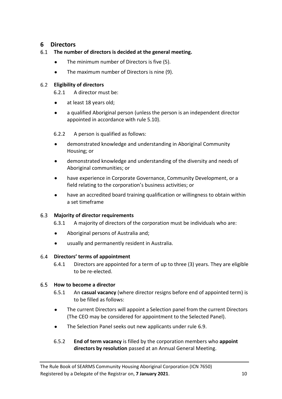# <span id="page-9-0"></span>**6 Directors**

# **The number of directors is decided at the general meeting.**

- The minimum number of Directors is five (5).
- The maximum number of Directors is nine (9).

# **Eligibility of directors**

- 6.2.1 A director must be:
- at least 18 years old;
- a qualified Aboriginal person (unless the person is an independent director appointed in accordance with rule 5.10).

# 6.2.2 A person is qualified as follows:

- demonstrated knowledge and understanding in Aboriginal Community Housing; or
- demonstrated knowledge and understanding of the diversity and needs of Aboriginal communities; or
- have experience in Corporate Governance, Community Development, or a field relating to the corporation's business activities; or
- have an accredited board training qualification or willingness to obtain within a set timeframe

# **Majority of director requirements**

6.3.1 A majority of directors of the corporation must be individuals who are:

- Aboriginal persons of Australia and;
- usually and permanently resident in Australia.

# **Directors' terms of appointment**

6.4.1 Directors are appointed for a term of up to three (3) years. They are eligible to be re-elected.

#### $6.5$ **How to become a director**

- 6.5.1 An **casual vacancy** (where director resigns before end of appointed term) is to be filled as follows:
- The current Directors will appoint a Selection panel from the current Directors (The CEO may be considered for appointment to the Selected Panel).
- The Selection Panel seeks out new applicants under rule 6.9.
- 6.5.2 **End of term vacancy** is filled by the corporation members who **appoint directors by resolution** passed at an Annual General Meeting.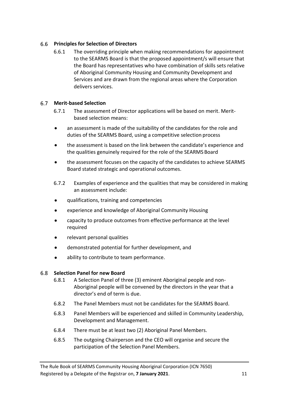# **Principles for Selection of Directors**

6.6.1 The overriding principle when making recommendations for appointment to the SEARMS Board is that the proposed appointment/s will ensure that the Board has representatives who have combination of skills sets relative of Aboriginal Community Housing and Community Development and Services and are drawn from the regional areas where the Corporation delivers services.

#### $6.7$ **Merit-based Selection**

- 6.7.1 The assessment of Director applications will be based on merit. Meritbased selection means:
- an assessment is made of the suitability of the candidates for the role and duties of the SEARMS Board, using a competitive selection process
- the assessment is based on the link between the candidate's experience and the qualities genuinely required for the role of the SEARMS Board
- the assessment focuses on the capacity of the candidates to achieve SEARMS Board stated strategic and operational outcomes.
- 6.7.2 Examples of experience and the qualities that may be considered in making an assessment include:
- qualifications, training and competencies
- experience and knowledge of Aboriginal Community Housing
- capacity to produce outcomes from effective performance at the level required
- relevant personal qualities
- demonstrated potential for further development, and
- ability to contribute to team performance.

# **Selection Panel for new Board**

- 6.8.1 A Selection Panel of three (3) eminent Aboriginal people and non-Aboriginal people will be convened by the directors in the year that a director's end of term is due.
- 6.8.2 The Panel Members must not be candidates for the SEARMS Board.
- 6.8.3 Panel Members will be experienced and skilled in Community Leadership, Development and Management.
- 6.8.4 There must be at least two (2) Aboriginal Panel Members.
- 6.8.5 The outgoing Chairperson and the CEO will organise and secure the participation of the Selection Panel Members.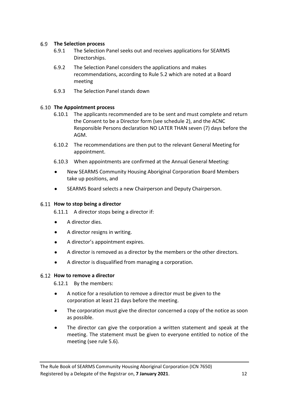### **The Selection process**

- 6.9.1 The Selection Panel seeks out and receives applications for SEARMS Directorships.
- 6.9.2 The Selection Panel considers the applications and makes recommendations, according to Rule 5.2 which are noted at a Board meeting
- 6.9.3 The Selection Panel stands down

### **The Appointment process**

- 6.10.1 The applicants recommended are to be sent and must complete and return the Consent to be a Director form (see schedule 2), and the ACNC Responsible Persons declaration NO LATER THAN seven (7) days before the AGM.
- 6.10.2 The recommendations are then put to the relevant General Meeting for appointment.
- 6.10.3 When appointments are confirmed at the Annual General Meeting:
- New SEARMS Community Housing Aboriginal Corporation Board Members take up positions, and
- **SEARMS Board selects a new Chairperson and Deputy Chairperson.**

### 6.11 How to stop being a director

6.11.1 A director stops being a director if:

- A director dies.
- A director resigns in writing.
- A director's appointment expires.
- A director is removed as a director by the members or the other directors.
- A director is disqualified from managing a corporation.

### **How to remove a director**

6.12.1 By the members:

- A notice for a resolution to remove a director must be given to the corporation at least 21 days before the meeting.
- The corporation must give the director concerned a copy of the notice as soon as possible.
- The director can give the corporation a written statement and speak at the meeting. The statement must be given to everyone entitled to notice of the meeting (see rule 5.6).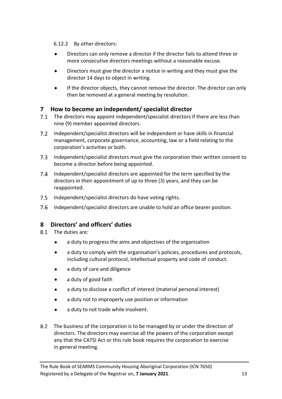### 6.12.2 By other directors:

- Directors can only remove a director if the director fails to attend three or more consecutive directors meetings without a reasonable excuse.
- Directors must give the director a notice in writing and they must give the director 14 days to object in writing.
- If the director objects, they cannot remove the director. The director can only then be removed at a general meeting by resolution.

# <span id="page-12-0"></span>**7 How to become an independent/ specialist director**

- 7.1 The directors may appoint independent/specialist directors if there are less than nine (9) member appointed directors.
- Independent/specialist directors will be independent or have skills in financial management, corporate governance, accounting, law or a field relating to the corporation's activities or both.
- 7.3 Independent/specialist directors must give the corporation their written consent to become a director before being appointed.
- $7.4$ Independent/specialist directors are appointed for the term specified by the directors in their appointment of up to three (3) years, and they can be reappointed.
- 7.5 Independent/specialist directors do have voting rights.
- Independent/specialist directors are unable to hold an office bearer position.

# <span id="page-12-1"></span>**8 Directors' and officers' duties**

- 8.1 The duties are:
	- a duty to progress the aims and objectives of the organisation
	- a duty to comply with the organisation's policies, procedures and protocols, including cultural protocol, intellectual property and code of conduct.
	- a duty of care and diligence
	- a duty of good faith
	- a duty to disclose a conflict of interest (material personal interest)
	- a duty not to improperly use position or information
	- a duty to not trade while insolvent.
- 8.2 The business of the corporation is to be managed by or under the direction of directors. The directors may exercise all the powers of the corporation except any that the CATSI Act or this rule book requires the corporation to exercise in general meeting.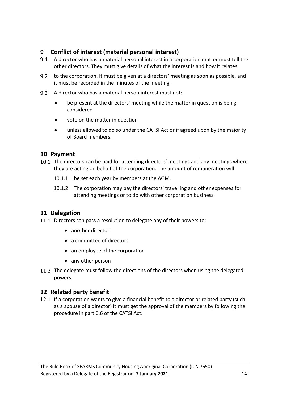# <span id="page-13-0"></span>**9 Conflict of interest (material personal interest)**

- 9.1 A director who has a material personal interest in a corporation matter must tell the other directors. They must give details of what the interest is and how it relates
- 9.2 to the corporation. It must be given at a directors' meeting as soon as possible, and it must be recorded in the minutes of the meeting.
- 9.3 A director who has a material person interest must not:
	- be present at the directors' meeting while the matter in question is being considered
	- vote on the matter in question
	- unless allowed to do so under the CATSI Act or if agreed upon by the majority of Board members.

# <span id="page-13-1"></span>**10 Payment**

- 10.1 The directors can be paid for attending directors' meetings and any meetings where they are acting on behalf of the corporation. The amount of remuneration will
	- 10.1.1 be set each year by members at the AGM.
	- 10.1.2 The corporation may pay the directors' travelling and other expenses for attending meetings or to do with other corporation business.

# <span id="page-13-2"></span>**11 Delegation**

- 11.1 Directors can pass a resolution to delegate any of their powers to:
	- another director
	- a committee of directors
	- an employee of the corporation
	- any other person
- 11.2 The delegate must follow the directions of the directors when using the delegated powers.

# <span id="page-13-3"></span>**12 Related party benefit**

12.1 If a corporation wants to give a financial benefit to a director or related party (such as a spouse of a director) it must get the approval of the members by following the procedure in part 6.6 of the CATSI Act.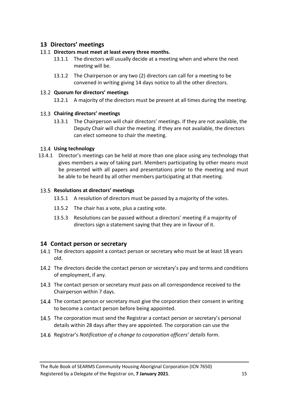# <span id="page-14-0"></span>**13 Directors' meetings**

### **Directors must meet at least every three months.**

- 13.1.1 The directors will usually decide at a meeting when and where the next meeting will be.
- 13.1.2 The Chairperson or any two (2) directors can call for a meeting to be convened in writing giving 14 days notice to all the other directors.

### **Quorum for directors' meetings**

13.2.1 A majority of the directors must be present at all times during the meeting.

# **Chairing directors' meetings**

13.3.1 The Chairperson will chair directors' meetings. If they are not available, the Deputy Chair will chair the meeting. If they are not available, the directors can elect someone to chair the meeting.

# **Using technology**

13.4.1 Director's meetings can be held at more than one place using any technology that gives members a way of taking part. Members participating by other means must be presented with all papers and presentations prior to the meeting and must be able to be heard by all other members participating at that meeting.

### **Resolutions at directors' meetings**

- 13.5.1 A resolution of directors must be passed by a majority of the votes.
- 13.5.2 The chair has a vote, plus a casting vote.
- 13.5.3 Resolutions can be passed without a directors' meeting if a majority of directors sign a statement saying that they are in favour of it.

# <span id="page-14-1"></span>**14 Contact person or secretary**

- 14.1 The directors appoint a contact person or secretary who must be at least 18 years old.
- 14.2 The directors decide the contact person or secretary's pay and terms and conditions of employment, if any.
- 14.3 The contact person or secretary must pass on all correspondence received to the Chairperson within 7 days.
- 14.4 The contact person or secretary must give the corporation their consent in writing to become a contact person before being appointed.
- 14.5 The corporation must send the Registrar a contact person or secretary's personal details within 28 days after they are appointed. The corporation can use the
- 14.6 Registrar's *Notification of a change to corporation officers' details* form.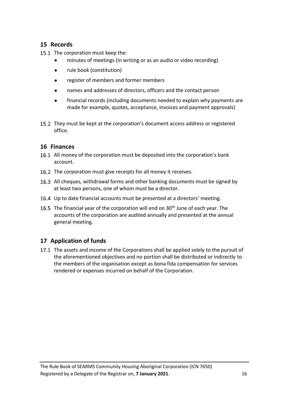# <span id="page-15-0"></span>**15 Records**

- 15.1 The corporation must keep the:
	- minutes of meetings (in writing or as an audio or video recording)
	- rule book (constitution)
	- register of members and former members
	- names and addresses of directors, officers and the contact person
	- financial records (including documents needed to explain why payments are made for example, quotes, acceptance, invoices and payment approvals)
- 15.2 They must be kept at the corporation's document access address or registered office.

# <span id="page-15-1"></span>**16 Finances**

- 16.1 All money of the corporation must be deposited into the corporation's bank account.
- 16.2 The corporation must give receipts for all money it receives.
- 16.3 All cheques, withdrawal forms and other banking documents must be signed by at least two persons, one of whom must be a director.
- Up to date financial accounts must be presented at a directors' meeting.
- 16.5 The financial year of the corporation will end on  $30<sup>th</sup>$  June of each year. The accounts of the corporation are audited annually and presented at the annual general meeting.

# <span id="page-15-2"></span>**17 Application of funds**

17.1 The assets and income of the Corporations shall be applied solely to the pursuit of the aforementioned objectives and no portion shall be distributed or indirectly to the members of the organisation except as bona fida compensation for services rendered or expenses incurred on behalf of the Corporation.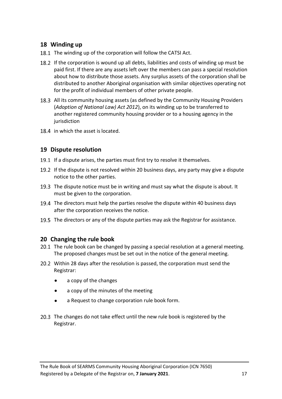# <span id="page-16-0"></span>**18 Winding up**

- 18.1 The winding up of the corporation will follow the CATSI Act.
- 18.2 If the corporation is wound up all debts, liabilities and costs of winding up must be paid first. If there are any assets left over the members can pass a special resolution about how to distribute those assets. Any surplus assets of the corporation shall be distributed to another Aboriginal organisation with similar objectives operating not for the profit of individual members of other private people.
- 18.3 All its community housing assets (as defined by the Community Housing Providers (*Adoption of National Law) Act 2012*), on its winding up to be transferred to another registered community housing provider or to a housing agency in the iurisdiction
- 18.4 in which the asset is located.

# <span id="page-16-1"></span>**19 Dispute resolution**

- 19.1 If a dispute arises, the parties must first try to resolve it themselves.
- 19.2 If the dispute is not resolved within 20 business days, any party may give a dispute notice to the other parties.
- 19.3 The dispute notice must be in writing and must say what the dispute is about. It must be given to the corporation.
- The directors must help the parties resolve the dispute within 40 business days after the corporation receives the notice.
- 19.5 The directors or any of the dispute parties may ask the Registrar for assistance.

# <span id="page-16-2"></span>**20 Changing the rule book**

- 20.1 The rule book can be changed by passing a special resolution at a general meeting. The proposed changes must be set out in the notice of the general meeting.
- 20.2 Within 28 days after the resolution is passed, the corporation must send the Registrar:
	- a copy of the changes
	- a copy of the minutes of the meeting
	- a Request to change corporation rule book form.
- 20.3 The changes do not take effect until the new rule book is registered by the Registrar.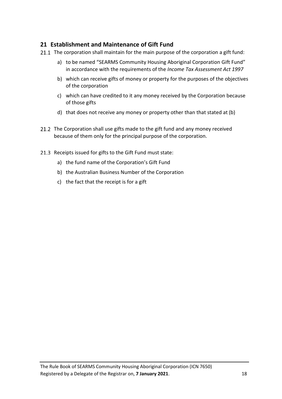# <span id="page-17-0"></span>**21 Establishment and Maintenance of Gift Fund**

- 21.1 The corporation shall maintain for the main purpose of the corporation a gift fund:
	- a) to be named "SEARMS Community Housing Aboriginal Corporation Gift Fund" in accordance with the requirements of the *Income Tax Assessment Act 1997*
	- b) which can receive gifts of money or property for the purposes of the objectives of the corporation
	- c) which can have credited to it any money received by the Corporation because of those gifts
	- d) that does not receive any money or property other than that stated at (b)
- 21.2 The Corporation shall use gifts made to the gift fund and any money received because of them only for the principal purpose of the corporation.
- 21.3 Receipts issued for gifts to the Gift Fund must state:
	- a) the fund name of the Corporation's Gift Fund
	- b) the Australian Business Number of the Corporation
	- c) the fact that the receipt is for a gift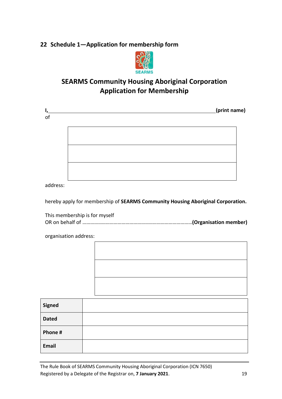# <span id="page-18-0"></span>**22 Schedule 1—Application for membership form**



# **SEARMS Community Housing Aboriginal Corporation Application for Membership**

|          | (print name) |
|----------|--------------|
| of       |              |
|          |              |
|          |              |
|          |              |
|          |              |
|          |              |
|          |              |
|          |              |
|          |              |
|          |              |
| address: |              |

hereby apply for membership of **SEARMS Community Housing Aboriginal Corporation.**

This membership is for myself OR on behalf of …………………………………………………………………………**(Organisation member)**

organisation address:

| Signed       |  |
|--------------|--|
| <b>Dated</b> |  |
| Phone #      |  |
| Email        |  |

The Rule Book of SEARMS Community Housing Aboriginal Corporation (ICN 7650) Registered by a Delegate of the Registrar on, **7 January 2021**. 19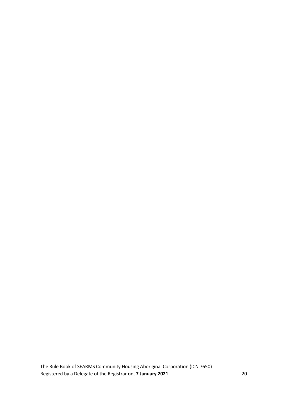The Rule Book of SEARMS Community Housing Aboriginal Corporation (ICN 7650) Registered by a Delegate of the Registrar on, **7 January 2021**. 20